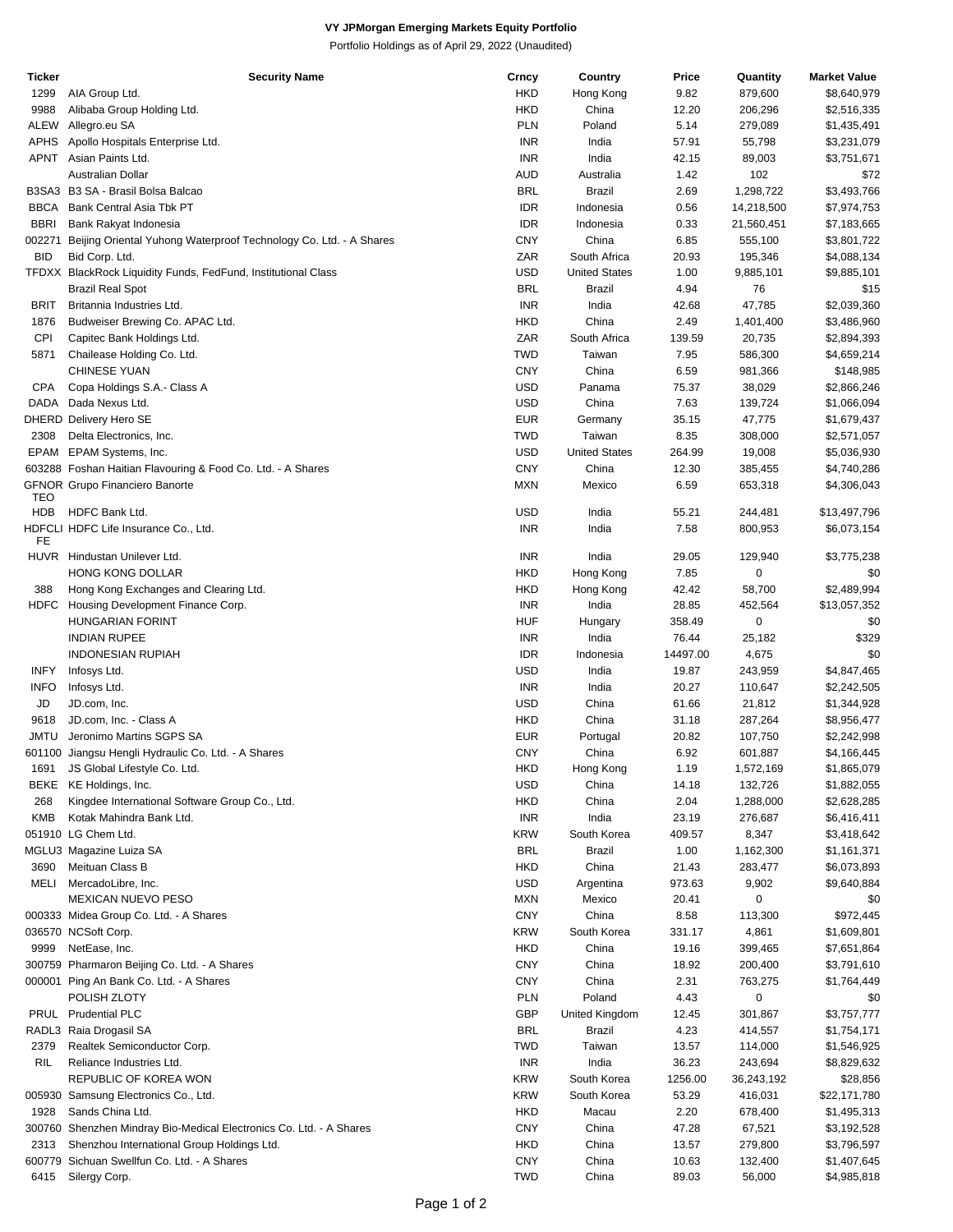## **VY JPMorgan Emerging Markets Equity Portfolio**

Portfolio Holdings as of April 29, 2022 (Unaudited)

| Ticker      | <b>Security Name</b>                                                | Crncy      | Country              | Price    | Quantity   | <b>Market Value</b> |
|-------------|---------------------------------------------------------------------|------------|----------------------|----------|------------|---------------------|
| 1299        | AIA Group Ltd.                                                      | <b>HKD</b> | Hong Kong            | 9.82     | 879,600    | \$8,640,979         |
| 9988        | Alibaba Group Holding Ltd.                                          | <b>HKD</b> | China                | 12.20    | 206,296    | \$2,516,335         |
| ALEW        | Allegro.eu SA                                                       | <b>PLN</b> | Poland               | 5.14     | 279,089    | \$1,435,491         |
| <b>APHS</b> | Apollo Hospitals Enterprise Ltd.                                    | <b>INR</b> | India                | 57.91    | 55,798     | \$3,231,079         |
| APNT        | Asian Paints Ltd.                                                   | <b>INR</b> | India                | 42.15    | 89,003     | \$3,751,671         |
|             | Australian Dollar                                                   | <b>AUD</b> | Australia            | 1.42     | 102        | \$72                |
|             | B3SA3 B3 SA - Brasil Bolsa Balcao                                   | <b>BRL</b> | Brazil               | 2.69     | 1,298,722  | \$3,493,766         |
| <b>BBCA</b> | Bank Central Asia Tbk PT                                            | <b>IDR</b> | Indonesia            | 0.56     | 14,218,500 | \$7,974,753         |
| <b>BBRI</b> | Bank Rakyat Indonesia                                               | <b>IDR</b> | Indonesia            | 0.33     | 21,560,451 | \$7,183,665         |
|             |                                                                     | <b>CNY</b> |                      |          |            |                     |
| 002271      | Beijing Oriental Yuhong Waterproof Technology Co. Ltd. - A Shares   |            | China                | 6.85     | 555,100    | \$3,801,722         |
| <b>BID</b>  | Bid Corp. Ltd.                                                      | ZAR        | South Africa         | 20.93    | 195,346    | \$4,088,134         |
|             | TFDXX BlackRock Liquidity Funds, FedFund, Institutional Class       | <b>USD</b> | <b>United States</b> | 1.00     | 9,885,101  | \$9,885,101         |
|             | <b>Brazil Real Spot</b>                                             | <b>BRL</b> | Brazil               | 4.94     | 76         | \$15                |
| BRIT        | Britannia Industries Ltd.                                           | <b>INR</b> | India                | 42.68    | 47,785     | \$2,039,360         |
| 1876        | Budweiser Brewing Co. APAC Ltd.                                     | <b>HKD</b> | China                | 2.49     | 1,401,400  | \$3,486,960         |
| CPI         | Capitec Bank Holdings Ltd.                                          | ZAR        | South Africa         | 139.59   | 20,735     | \$2,894,393         |
| 5871        | Chailease Holding Co. Ltd.                                          | <b>TWD</b> | Taiwan               | 7.95     | 586,300    | \$4,659,214         |
|             | <b>CHINESE YUAN</b>                                                 | <b>CNY</b> | China                | 6.59     | 981,366    | \$148,985           |
| CPA         | Copa Holdings S.A.- Class A                                         | <b>USD</b> | Panama               | 75.37    | 38,029     | \$2,866,246         |
| DADA        | Dada Nexus Ltd.                                                     | <b>USD</b> | China                | 7.63     | 139,724    | \$1,066,094         |
|             | DHERD Delivery Hero SE                                              | <b>EUR</b> | Germany              | 35.15    | 47,775     | \$1,679,437         |
| 2308        | Delta Electronics, Inc.                                             | <b>TWD</b> | Taiwan               | 8.35     | 308,000    | \$2,571,057         |
| EPAM        | EPAM Systems, Inc.                                                  | <b>USD</b> | <b>United States</b> | 264.99   | 19,008     | \$5,036,930         |
|             | 603288 Foshan Haitian Flavouring & Food Co. Ltd. - A Shares         | <b>CNY</b> | China                | 12.30    | 385,455    | \$4,740,286         |
|             | <b>GFNOR Grupo Financiero Banorte</b>                               | <b>MXN</b> | Mexico               | 6.59     | 653,318    | \$4,306,043         |
| TEO         |                                                                     |            |                      |          |            |                     |
| <b>HDB</b>  | HDFC Bank Ltd.                                                      | <b>USD</b> | India                | 55.21    | 244,481    | \$13,497,796        |
|             | HDFCLI HDFC Life Insurance Co., Ltd.                                | <b>INR</b> | India                | 7.58     | 800,953    | \$6,073,154         |
| FE          |                                                                     |            |                      |          |            |                     |
| <b>HUVR</b> | Hindustan Unilever Ltd.                                             | <b>INR</b> | India                | 29.05    | 129,940    | \$3,775,238         |
|             | <b>HONG KONG DOLLAR</b>                                             | <b>HKD</b> | Hong Kong            | 7.85     | 0          | \$0                 |
| 388         | Hong Kong Exchanges and Clearing Ltd.                               | HKD        | Hong Kong            | 42.42    | 58,700     | \$2,489,994         |
| HDFC        | Housing Development Finance Corp.                                   | <b>INR</b> | India                | 28.85    | 452,564    | \$13,057,352        |
|             | <b>HUNGARIAN FORINT</b>                                             | <b>HUF</b> | Hungary              | 358.49   | 0          | \$0                 |
|             | <b>INDIAN RUPEE</b>                                                 | <b>INR</b> | India                | 76.44    | 25,182     |                     |
|             |                                                                     |            |                      |          |            | \$329               |
|             | <b>INDONESIAN RUPIAH</b>                                            | <b>IDR</b> | Indonesia            | 14497.00 | 4,675      | \$0                 |
| <b>INFY</b> | Infosys Ltd.                                                        | USD        | India                | 19.87    | 243,959    | \$4,847,465         |
| <b>INFO</b> | Infosys Ltd.                                                        | <b>INR</b> | India                | 20.27    | 110,647    | \$2,242,505         |
| JD          | JD.com, Inc.                                                        | USD        | China                | 61.66    | 21,812     | \$1,344,928         |
| 9618        | JD.com, Inc. - Class A                                              | HKD        | China                | 31.18    | 287,264    | \$8,956,477         |
| JMTU        | Jeronimo Martins SGPS SA                                            | <b>EUR</b> | Portugal             | 20.82    | 107,750    | \$2,242,998         |
|             | 601100 Jiangsu Hengli Hydraulic Co. Ltd. - A Shares                 | <b>CNY</b> | China                | 6.92     | 601,887    | \$4,166,445         |
| 1691        | JS Global Lifestyle Co. Ltd.                                        | <b>HKD</b> | Hong Kong            | 1.19     | 1,572,169  | \$1,865,079         |
|             | BEKE KE Holdings, Inc.                                              | USD        | China                | 14.18    | 132,726    | \$1,882,055         |
| 268         | Kingdee International Software Group Co., Ltd.                      | HKD        | China                | 2.04     | 1,288,000  | \$2,628,285         |
| <b>KMB</b>  | Kotak Mahindra Bank Ltd.                                            | <b>INR</b> | India                | 23.19    | 276,687    | \$6,416,411         |
|             | 051910 LG Chem Ltd.                                                 | <b>KRW</b> | South Korea          | 409.57   | 8,347      | \$3,418,642         |
|             | MGLU3 Magazine Luiza SA                                             | <b>BRL</b> | Brazil               | 1.00     | 1,162,300  | \$1,161,371         |
| 3690        | Meituan Class B                                                     | HKD        | China                | 21.43    | 283,477    | \$6,073,893         |
| MELI        | MercadoLibre, Inc.                                                  | USD        | Argentina            | 973.63   | 9,902      | \$9,640,884         |
|             | <b>MEXICAN NUEVO PESO</b>                                           | <b>MXN</b> | Mexico               | 20.41    | 0          | \$0                 |
|             |                                                                     |            |                      |          |            |                     |
|             | 000333 Midea Group Co. Ltd. - A Shares                              | <b>CNY</b> | China                | 8.58     | 113,300    | \$972,445           |
|             | 036570 NCSoft Corp.                                                 | <b>KRW</b> | South Korea          | 331.17   | 4,861      | \$1,609,801         |
| 9999        | NetEase, Inc.                                                       | <b>HKD</b> | China                | 19.16    | 399,465    | \$7,651,864         |
|             | 300759 Pharmaron Beijing Co. Ltd. - A Shares                        | <b>CNY</b> | China                | 18.92    | 200,400    | \$3,791,610         |
|             | 000001 Ping An Bank Co. Ltd. - A Shares                             | <b>CNY</b> | China                | 2.31     | 763,275    | \$1,764,449         |
|             | POLISH ZLOTY                                                        | <b>PLN</b> | Poland               | 4.43     | 0          | \$0                 |
|             | PRUL Prudential PLC                                                 | <b>GBP</b> | United Kingdom       | 12.45    | 301,867    | \$3,757,777         |
|             | RADL3 Raia Drogasil SA                                              | <b>BRL</b> | Brazil               | 4.23     | 414,557    | \$1,754,171         |
| 2379        | Realtek Semiconductor Corp.                                         | <b>TWD</b> | Taiwan               | 13.57    | 114,000    | \$1,546,925         |
| RIL         | Reliance Industries Ltd.                                            | <b>INR</b> | India                | 36.23    | 243,694    | \$8,829,632         |
|             | REPUBLIC OF KOREA WON                                               | <b>KRW</b> | South Korea          | 1256.00  | 36,243,192 | \$28,856            |
|             | 005930 Samsung Electronics Co., Ltd.                                | <b>KRW</b> | South Korea          | 53.29    | 416,031    | \$22,171,780        |
| 1928        | Sands China Ltd.                                                    | <b>HKD</b> | Macau                | 2.20     | 678,400    | \$1,495,313         |
|             |                                                                     | <b>CNY</b> | China                | 47.28    |            |                     |
|             | 300760 Shenzhen Mindray Bio-Medical Electronics Co. Ltd. - A Shares |            |                      |          | 67,521     | \$3,192,528         |
| 2313        | Shenzhou International Group Holdings Ltd.                          | <b>HKD</b> | China                | 13.57    | 279,800    | \$3,796,597         |
|             | 600779 Sichuan Swellfun Co. Ltd. - A Shares                         | <b>CNY</b> | China                | 10.63    | 132,400    | \$1,407,645         |
| 6415        | Silergy Corp.                                                       | <b>TWD</b> | China                | 89.03    | 56,000     | \$4,985,818         |